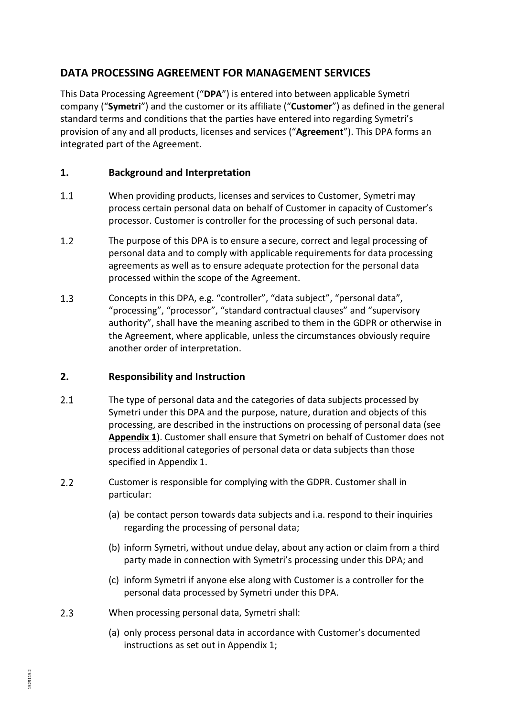## **DATA PROCESSING AGREEMENT FOR MANAGEMENT SERVICES**

This Data Processing Agreement ("**DPA**") is entered into between applicable Symetri company ("**Symetri**") and the customer or its affiliate ("**Customer**") as defined in the general standard terms and conditions that the parties have entered into regarding Symetri's provision of any and all products, licenses and services ("**Agreement**"). This DPA forms an integrated part of the Agreement.

### **1. Background and Interpretation**

- $1.1$ When providing products, licenses and services to Customer, Symetri may process certain personal data on behalf of Customer in capacity of Customer's processor. Customer is controller for the processing of such personal data.
- $1.2$ The purpose of this DPA is to ensure a secure, correct and legal processing of personal data and to comply with applicable requirements for data processing agreements as well as to ensure adequate protection for the personal data processed within the scope of the Agreement.
- $1.3$ Concepts in this DPA, e.g. "controller", "data subject", "personal data", "processing", "processor", "standard contractual clauses" and "supervisory authority", shall have the meaning ascribed to them in the GDPR or otherwise in the Agreement, where applicable, unless the circumstances obviously require another order of interpretation.

#### <span id="page-0-0"></span>**2. Responsibility and Instruction**

- $2.1$ The type of personal data and the categories of data subjects processed by Symetri under this DPA and the purpose, nature, duration and objects of this processing, are described in the instructions on processing of personal data (see **Appendix 1**). Customer shall ensure that Symetri on behalf of Customer does not process additional categories of personal data or data subjects than those specified in Appendix 1.
- $2.2$ Customer is responsible for complying with the GDPR. Customer shall in particular:
	- (a) be contact person towards data subjects and i.a. respond to their inquiries regarding the processing of personal data;
	- (b) inform Symetri, without undue delay, about any action or claim from a third party made in connection with Symetri's processing under this DPA; and
	- (c) inform Symetri if anyone else along with Customer is a controller for the personal data processed by Symetri under this DPA.
- $2.3$ When processing personal data, Symetri shall:
	- (a) only process personal data in accordance with Customer's documented instructions as set out in Appendix 1;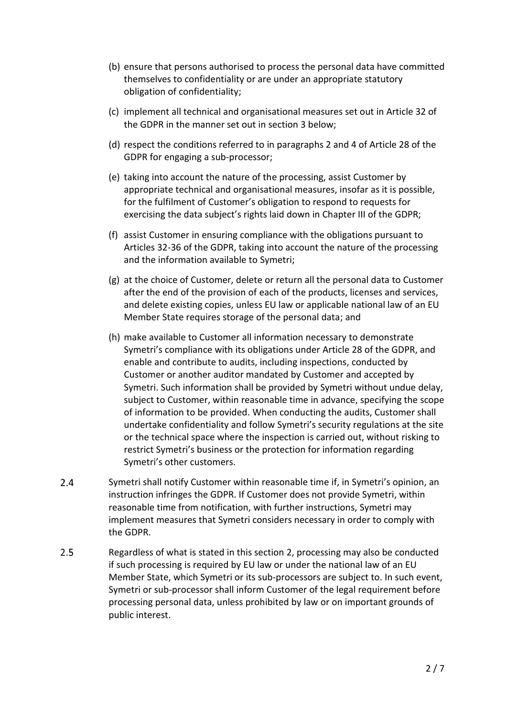- (b) ensure that persons authorised to process the personal data have committed themselves to confidentiality or are under an appropriate statutory obligation of confidentiality;
- (c) implement all technical and organisational measures set out in Article 32 of the GDPR in the manner set out in section [3](#page-2-0) below;
- (d) respect the conditions referred to in paragraphs 2 and 4 of Article 28 of the GDPR for engaging a sub-processor;
- (e) taking into account the nature of the processing, assist Customer by appropriate technical and organisational measures, insofar as it is possible, for the fulfilment of Customer's obligation to respond to requests for exercising the data subject's rights laid down in Chapter III of the GDPR;
- (f) assist Customer in ensuring compliance with the obligations pursuant to Articles 32-36 of the GDPR, taking into account the nature of the processing and the information available to Symetri;
- (g) at the choice of Customer, delete or return all the personal data to Customer after the end of the provision of each of the products, licenses and services, and delete existing copies, unless EU law or applicable national law of an EU Member State requires storage of the personal data; and
- (h) make available to Customer all information necessary to demonstrate Symetri's compliance with its obligations under Article 28 of the GDPR, and enable and contribute to audits, including inspections, conducted by Customer or another auditor mandated by Customer and accepted by Symetri. Such information shall be provided by Symetri without undue delay, subject to Customer, within reasonable time in advance, specifying the scope of information to be provided. When conducting the audits, Customer shall undertake confidentiality and follow Symetri's security regulations at the site or the technical space where the inspection is carried out, without risking to restrict Symetri's business or the protection for information regarding Symetri's other customers.
- $2.4$ Symetri shall notify Customer within reasonable time if, in Symetri's opinion, an instruction infringes the GDPR. If Customer does not provide Symetri, within reasonable time from notification, with further instructions, Symetri may implement measures that Symetri considers necessary in order to comply with the GDPR.
- $2.5$ Regardless of what is stated in this section [2,](#page-0-0) processing may also be conducted if such processing is required by EU law or under the national law of an EU Member State, which Symetri or its sub-processors are subject to. In such event, Symetri or sub-processor shall inform Customer of the legal requirement before processing personal data, unless prohibited by law or on important grounds of public interest.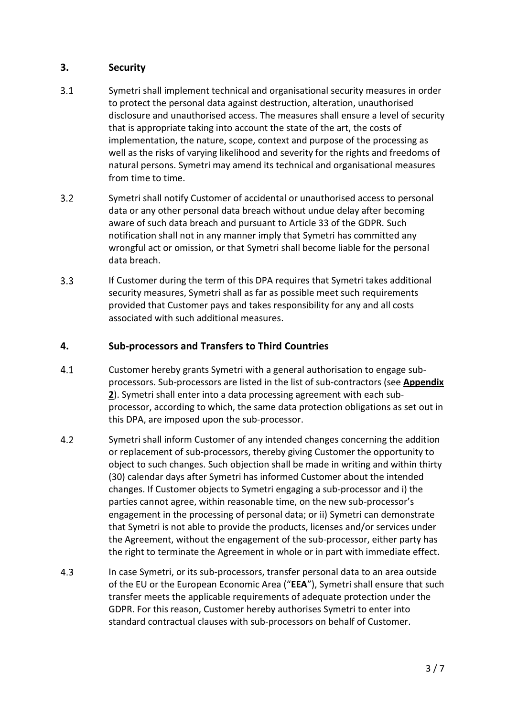#### <span id="page-2-0"></span>**3. Security**

- $3.1$ Symetri shall implement technical and organisational security measures in order to protect the personal data against destruction, alteration, unauthorised disclosure and unauthorised access. The measures shall ensure a level of security that is appropriate taking into account the state of the art, the costs of implementation, the nature, scope, context and purpose of the processing as well as the risks of varying likelihood and severity for the rights and freedoms of natural persons. Symetri may amend its technical and organisational measures from time to time.
- $3.2$ Symetri shall notify Customer of accidental or unauthorised access to personal data or any other personal data breach without undue delay after becoming aware of such data breach and pursuant to Article 33 of the GDPR. Such notification shall not in any manner imply that Symetri has committed any wrongful act or omission, or that Symetri shall become liable for the personal data breach.
- $3.3$ If Customer during the term of this DPA requires that Symetri takes additional security measures, Symetri shall as far as possible meet such requirements provided that Customer pays and takes responsibility for any and all costs associated with such additional measures.

#### **4. Sub-processors and Transfers to Third Countries**

- $4.1$ Customer hereby grants Symetri with a general authorisation to engage subprocessors. Sub-processors are listed in the list of sub-contractors (see **Appendix 2**). Symetri shall enter into a data processing agreement with each subprocessor, according to which, the same data protection obligations as set out in this DPA, are imposed upon the sub-processor.
- $4.2$ Symetri shall inform Customer of any intended changes concerning the addition or replacement of sub-processors, thereby giving Customer the opportunity to object to such changes. Such objection shall be made in writing and within thirty (30) calendar days after Symetri has informed Customer about the intended changes. If Customer objects to Symetri engaging a sub-processor and i) the parties cannot agree, within reasonable time, on the new sub-processor's engagement in the processing of personal data; or ii) Symetri can demonstrate that Symetri is not able to provide the products, licenses and/or services under the Agreement, without the engagement of the sub-processor, either party has the right to terminate the Agreement in whole or in part with immediate effect.
- $4.3$ In case Symetri, or its sub-processors, transfer personal data to an area outside of the EU or the European Economic Area ("**EEA**"), Symetri shall ensure that such transfer meets the applicable requirements of adequate protection under the GDPR. For this reason, Customer hereby authorises Symetri to enter into standard contractual clauses with sub-processors on behalf of Customer.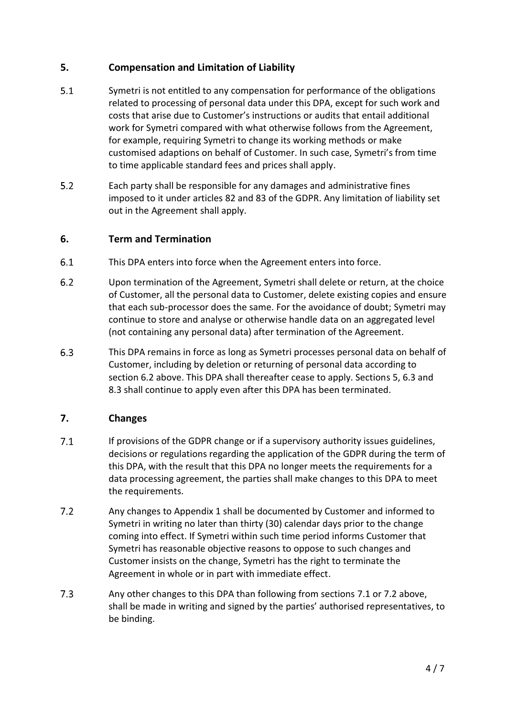#### <span id="page-3-1"></span>**5. Compensation and Limitation of Liability**

- $5.1$ Symetri is not entitled to any compensation for performance of the obligations related to processing of personal data under this DPA, except for such work and costs that arise due to Customer's instructions or audits that entail additional work for Symetri compared with what otherwise follows from the Agreement, for example, requiring Symetri to change its working methods or make customised adaptions on behalf of Customer. In such case, Symetri's from time to time applicable standard fees and prices shall apply.
- $5.2$ Each party shall be responsible for any damages and administrative fines imposed to it under articles 82 and 83 of the GDPR. Any limitation of liability set out in the Agreement shall apply.

#### **6. Term and Termination**

- $6.1$ This DPA enters into force when the Agreement enters into force.
- <span id="page-3-0"></span> $6.2$ Upon termination of the Agreement, Symetri shall delete or return, at the choice of Customer, all the personal data to Customer, delete existing copies and ensure that each sub-processor does the same. For the avoidance of doubt; Symetri may continue to store and analyse or otherwise handle data on an aggregated level (not containing any personal data) after termination of the Agreement.
- <span id="page-3-2"></span> $6.3$ This DPA remains in force as long as Symetri processes personal data on behalf of Customer, including by deletion or returning of personal data according to section [6.2](#page-3-0) above. This DPA shall thereafter cease to apply. Sections [5,](#page-3-1) [6.3](#page-3-2) and [8.3](#page-4-0) shall continue to apply even after this DPA has been terminated.

#### **7. Changes**

- <span id="page-3-3"></span> $7.1$ If provisions of the GDPR change or if a supervisory authority issues guidelines, decisions or regulations regarding the application of the GDPR during the term of this DPA, with the result that this DPA no longer meets the requirements for a data processing agreement, the parties shall make changes to this DPA to meet the requirements.
- <span id="page-3-4"></span> $7.2$ Any changes to Appendix 1 shall be documented by Customer and informed to Symetri in writing no later than thirty (30) calendar days prior to the change coming into effect. If Symetri within such time period informs Customer that Symetri has reasonable objective reasons to oppose to such changes and Customer insists on the change, Symetri has the right to terminate the Agreement in whole or in part with immediate effect.
- $7.3$ Any other changes to this DPA than following from sections [7.1](#page-3-3) or [7.2](#page-3-4) above, shall be made in writing and signed by the parties' authorised representatives, to be binding.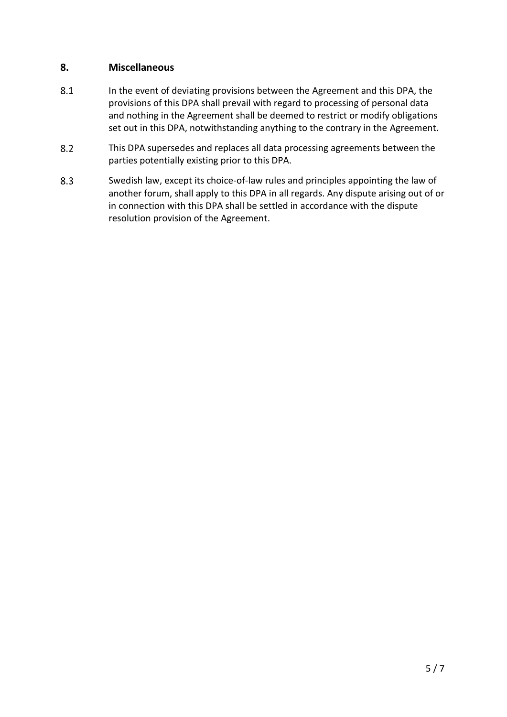#### **8. Miscellaneous**

- 8.1 In the event of deviating provisions between the Agreement and this DPA, the provisions of this DPA shall prevail with regard to processing of personal data and nothing in the Agreement shall be deemed to restrict or modify obligations set out in this DPA, notwithstanding anything to the contrary in the Agreement.
- $8.2$ This DPA supersedes and replaces all data processing agreements between the parties potentially existing prior to this DPA.
- <span id="page-4-0"></span>8.3 Swedish law, except its choice-of-law rules and principles appointing the law of another forum, shall apply to this DPA in all regards. Any dispute arising out of or in connection with this DPA shall be settled in accordance with the dispute resolution provision of the Agreement.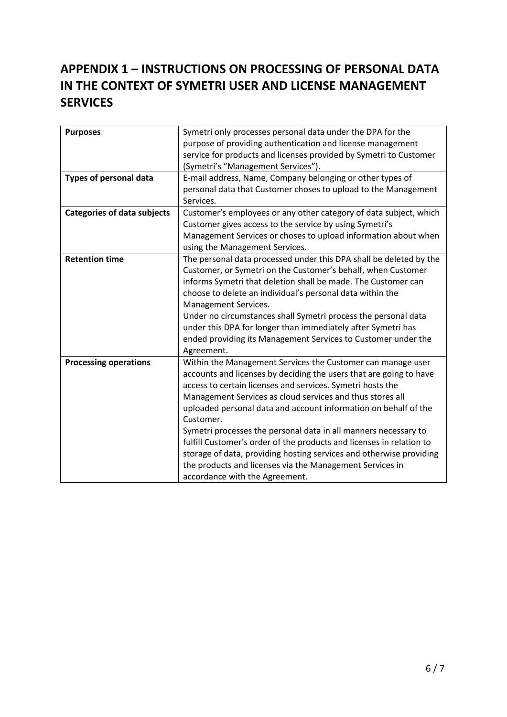# **APPENDIX 1 – INSTRUCTIONS ON PROCESSING OF PERSONAL DATA IN THE CONTEXT OF SYMETRI USER AND LICENSE MANAGEMENT SERVICES**

| <b>Purposes</b>                    | Symetri only processes personal data under the DPA for the<br>purpose of providing authentication and license management<br>service for products and licenses provided by Symetri to Customer<br>(Symetri's "Management Services").                                                                                                                                                                                                                                                                                                                                                                                                                          |
|------------------------------------|--------------------------------------------------------------------------------------------------------------------------------------------------------------------------------------------------------------------------------------------------------------------------------------------------------------------------------------------------------------------------------------------------------------------------------------------------------------------------------------------------------------------------------------------------------------------------------------------------------------------------------------------------------------|
| Types of personal data             | E-mail address, Name, Company belonging or other types of<br>personal data that Customer choses to upload to the Management<br>Services.                                                                                                                                                                                                                                                                                                                                                                                                                                                                                                                     |
| <b>Categories of data subjects</b> | Customer's employees or any other category of data subject, which<br>Customer gives access to the service by using Symetri's<br>Management Services or choses to upload information about when<br>using the Management Services.                                                                                                                                                                                                                                                                                                                                                                                                                             |
| <b>Retention time</b>              | The personal data processed under this DPA shall be deleted by the<br>Customer, or Symetri on the Customer's behalf, when Customer<br>informs Symetri that deletion shall be made. The Customer can<br>choose to delete an individual's personal data within the<br>Management Services.<br>Under no circumstances shall Symetri process the personal data<br>under this DPA for longer than immediately after Symetri has<br>ended providing its Management Services to Customer under the<br>Agreement.                                                                                                                                                    |
| <b>Processing operations</b>       | Within the Management Services the Customer can manage user<br>accounts and licenses by deciding the users that are going to have<br>access to certain licenses and services. Symetri hosts the<br>Management Services as cloud services and thus stores all<br>uploaded personal data and account information on behalf of the<br>Customer.<br>Symetri processes the personal data in all manners necessary to<br>fulfill Customer's order of the products and licenses in relation to<br>storage of data, providing hosting services and otherwise providing<br>the products and licenses via the Management Services in<br>accordance with the Agreement. |